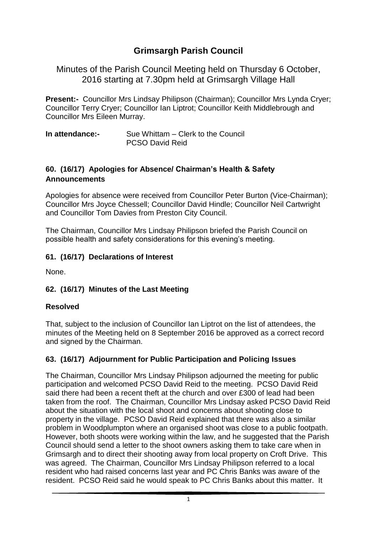# **Grimsargh Parish Council**

Minutes of the Parish Council Meeting held on Thursday 6 October, 2016 starting at 7.30pm held at Grimsargh Village Hall

**Present:-** Councillor Mrs Lindsay Philipson (Chairman); Councillor Mrs Lynda Cryer; Councillor Terry Cryer; Councillor Ian Liptrot; Councillor Keith Middlebrough and Councillor Mrs Eileen Murray.

**In attendance:-** Sue Whittam – Clerk to the Council PCSO David Reid

#### **60. (16/17) Apologies for Absence/ Chairman's Health & Safety Announcements**

Apologies for absence were received from Councillor Peter Burton (Vice-Chairman); Councillor Mrs Joyce Chessell; Councillor David Hindle; Councillor Neil Cartwright and Councillor Tom Davies from Preston City Council.

The Chairman, Councillor Mrs Lindsay Philipson briefed the Parish Council on possible health and safety considerations for this evening's meeting.

#### **61. (16/17) Declarations of Interest**

None.

#### **62. (16/17) Minutes of the Last Meeting**

#### **Resolved**

That, subject to the inclusion of Councillor Ian Liptrot on the list of attendees, the minutes of the Meeting held on 8 September 2016 be approved as a correct record and signed by the Chairman.

#### **63. (16/17) Adjournment for Public Participation and Policing Issues**

The Chairman, Councillor Mrs Lindsay Philipson adjourned the meeting for public participation and welcomed PCSO David Reid to the meeting. PCSO David Reid said there had been a recent theft at the church and over £300 of lead had been taken from the roof. The Chairman, Councillor Mrs Lindsay asked PCSO David Reid about the situation with the local shoot and concerns about shooting close to property in the village. PCSO David Reid explained that there was also a similar problem in Woodplumpton where an organised shoot was close to a public footpath. However, both shoots were working within the law, and he suggested that the Parish Council should send a letter to the shoot owners asking them to take care when in Grimsargh and to direct their shooting away from local property on Croft Drive. This was agreed. The Chairman, Councillor Mrs Lindsay Philipson referred to a local resident who had raised concerns last year and PC Chris Banks was aware of the resident. PCSO Reid said he would speak to PC Chris Banks about this matter. It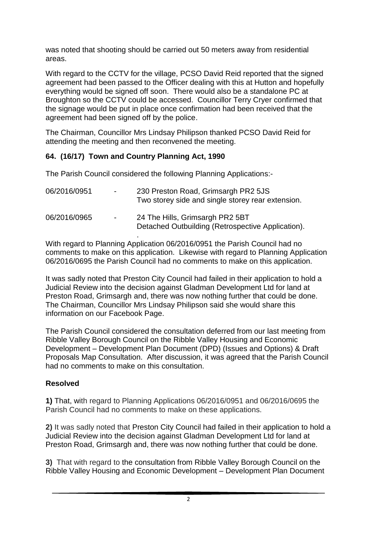was noted that shooting should be carried out 50 meters away from residential areas.

With regard to the CCTV for the village, PCSO David Reid reported that the signed agreement had been passed to the Officer dealing with this at Hutton and hopefully everything would be signed off soon. There would also be a standalone PC at Broughton so the CCTV could be accessed. Councillor Terry Cryer confirmed that the signage would be put in place once confirmation had been received that the agreement had been signed off by the police.

The Chairman, Councillor Mrs Lindsay Philipson thanked PCSO David Reid for attending the meeting and then reconvened the meeting.

### **64. (16/17) Town and Country Planning Act, 1990**

The Parish Council considered the following Planning Applications:-

| 06/2016/0951 | ۰.             | 230 Preston Road, Grimsargh PR2 5JS<br>Two storey side and single storey rear extension. |
|--------------|----------------|------------------------------------------------------------------------------------------|
| 06/2016/0965 | $\blacksquare$ | 24 The Hills, Grimsargh PR2 5BT<br>Detached Outbuilding (Retrospective Application).     |

With regard to Planning Application 06/2016/0951 the Parish Council had no comments to make on this application. Likewise with regard to Planning Application 06/2016/0695 the Parish Council had no comments to make on this application.

It was sadly noted that Preston City Council had failed in their application to hold a Judicial Review into the decision against Gladman Development Ltd for land at Preston Road, Grimsargh and, there was now nothing further that could be done. The Chairman, Councillor Mrs Lindsay Philipson said she would share this information on our Facebook Page.

The Parish Council considered the consultation deferred from our last meeting from Ribble Valley Borough Council on the Ribble Valley Housing and Economic Development – Development Plan Document (DPD) (Issues and Options) & Draft Proposals Map Consultation. After discussion, it was agreed that the Parish Council had no comments to make on this consultation.

## **Resolved**

**1)** That, with regard to Planning Applications 06/2016/0951 and 06/2016/0695 the Parish Council had no comments to make on these applications.

**2)** It was sadly noted that Preston City Council had failed in their application to hold a Judicial Review into the decision against Gladman Development Ltd for land at Preston Road, Grimsargh and, there was now nothing further that could be done.

**3)** That with regard to the consultation from Ribble Valley Borough Council on the Ribble Valley Housing and Economic Development – Development Plan Document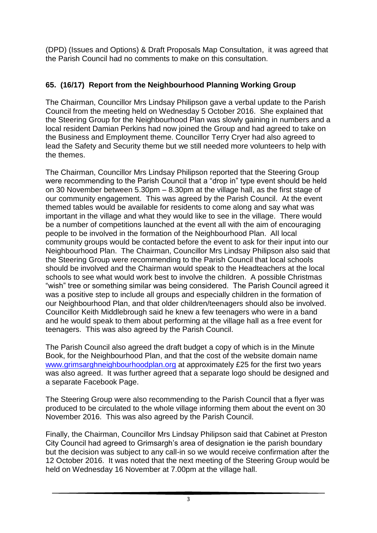(DPD) (Issues and Options) & Draft Proposals Map Consultation, it was agreed that the Parish Council had no comments to make on this consultation.

### **65. (16/17) Report from the Neighbourhood Planning Working Group**

The Chairman, Councillor Mrs Lindsay Philipson gave a verbal update to the Parish Council from the meeting held on Wednesday 5 October 2016. She explained that the Steering Group for the Neighbourhood Plan was slowly gaining in numbers and a local resident Damian Perkins had now joined the Group and had agreed to take on the Business and Employment theme. Councillor Terry Cryer had also agreed to lead the Safety and Security theme but we still needed more volunteers to help with the themes.

The Chairman, Councillor Mrs Lindsay Philipson reported that the Steering Group were recommending to the Parish Council that a "drop in" type event should be held on 30 November between 5.30pm – 8.30pm at the village hall, as the first stage of our community engagement. This was agreed by the Parish Council. At the event themed tables would be available for residents to come along and say what was important in the village and what they would like to see in the village. There would be a number of competitions launched at the event all with the aim of encouraging people to be involved in the formation of the Neighbourhood Plan. All local community groups would be contacted before the event to ask for their input into our Neighbourhood Plan. The Chairman, Councillor Mrs Lindsay Philipson also said that the Steering Group were recommending to the Parish Council that local schools should be involved and the Chairman would speak to the Headteachers at the local schools to see what would work best to involve the children. A possible Christmas "wish" tree or something similar was being considered. The Parish Council agreed it was a positive step to include all groups and especially children in the formation of our Neighbourhood Plan, and that older children/teenagers should also be involved. Councillor Keith Middlebrough said he knew a few teenagers who were in a band and he would speak to them about performing at the village hall as a free event for teenagers. This was also agreed by the Parish Council.

The Parish Council also agreed the draft budget a copy of which is in the Minute Book, for the Neighbourhood Plan, and that the cost of the website domain name [www.grimsarghneighbourhoodplan.org](http://www.grimsarghneighbourhoodplan.org/) at approximately £25 for the first two years was also agreed. It was further agreed that a separate logo should be designed and a separate Facebook Page.

The Steering Group were also recommending to the Parish Council that a flyer was produced to be circulated to the whole village informing them about the event on 30 November 2016. This was also agreed by the Parish Council.

Finally, the Chairman, Councillor Mrs Lindsay Philipson said that Cabinet at Preston City Council had agreed to Grimsargh's area of designation ie the parish boundary but the decision was subject to any call-in so we would receive confirmation after the 12 October 2016. It was noted that the next meeting of the Steering Group would be held on Wednesday 16 November at 7.00pm at the village hall.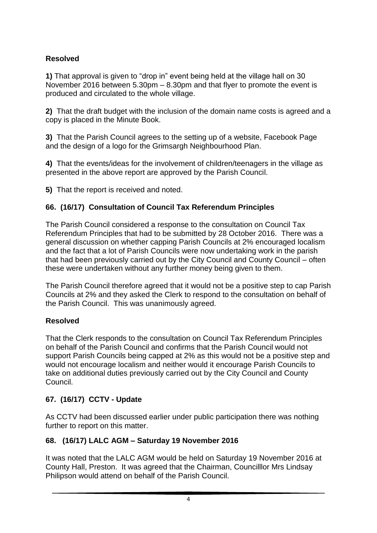## **Resolved**

**1)** That approval is given to "drop in" event being held at the village hall on 30 November 2016 between 5.30pm – 8.30pm and that flyer to promote the event is produced and circulated to the whole village.

**2)** That the draft budget with the inclusion of the domain name costs is agreed and a copy is placed in the Minute Book.

**3)** That the Parish Council agrees to the setting up of a website, Facebook Page and the design of a logo for the Grimsargh Neighbourhood Plan.

**4)** That the events/ideas for the involvement of children/teenagers in the village as presented in the above report are approved by the Parish Council.

**5)** That the report is received and noted.

### **66. (16/17) Consultation of Council Tax Referendum Principles**

The Parish Council considered a response to the consultation on Council Tax Referendum Principles that had to be submitted by 28 October 2016. There was a general discussion on whether capping Parish Councils at 2% encouraged localism and the fact that a lot of Parish Councils were now undertaking work in the parish that had been previously carried out by the City Council and County Council – often these were undertaken without any further money being given to them.

The Parish Council therefore agreed that it would not be a positive step to cap Parish Councils at 2% and they asked the Clerk to respond to the consultation on behalf of the Parish Council. This was unanimously agreed.

#### **Resolved**

That the Clerk responds to the consultation on Council Tax Referendum Principles on behalf of the Parish Council and confirms that the Parish Council would not support Parish Councils being capped at 2% as this would not be a positive step and would not encourage localism and neither would it encourage Parish Councils to take on additional duties previously carried out by the City Council and County Council.

#### **67. (16/17) CCTV - Update**

As CCTV had been discussed earlier under public participation there was nothing further to report on this matter.

#### **68. (16/17) LALC AGM – Saturday 19 November 2016**

It was noted that the LALC AGM would be held on Saturday 19 November 2016 at County Hall, Preston. It was agreed that the Chairman, Councilllor Mrs Lindsay Philipson would attend on behalf of the Parish Council.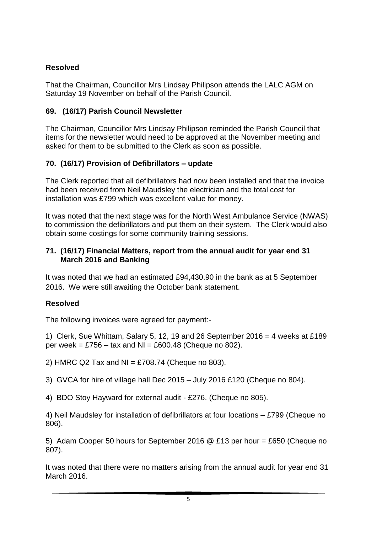### **Resolved**

That the Chairman, Councillor Mrs Lindsay Philipson attends the LALC AGM on Saturday 19 November on behalf of the Parish Council.

### **69. (16/17) Parish Council Newsletter**

The Chairman, Councillor Mrs Lindsay Philipson reminded the Parish Council that items for the newsletter would need to be approved at the November meeting and asked for them to be submitted to the Clerk as soon as possible.

# **70. (16/17) Provision of Defibrillators – update**

The Clerk reported that all defibrillators had now been installed and that the invoice had been received from Neil Maudsley the electrician and the total cost for installation was £799 which was excellent value for money.

It was noted that the next stage was for the North West Ambulance Service (NWAS) to commission the defibrillators and put them on their system. The Clerk would also obtain some costings for some community training sessions.

#### **71. (16/17) Financial Matters, report from the annual audit for year end 31 March 2016 and Banking**

It was noted that we had an estimated £94,430.90 in the bank as at 5 September 2016. We were still awaiting the October bank statement.

#### **Resolved**

The following invoices were agreed for payment:-

1) Clerk, Sue Whittam, Salary 5, 12, 19 and 26 September 2016 = 4 weeks at £189 per week = £756 – tax and NI = £600.48 (Cheque no 802).

2) HMRC Q2 Tax and NI =  $£708.74$  (Cheque no 803).

3) GVCA for hire of village hall Dec 2015 – July 2016 £120 (Cheque no 804).

4) BDO Stoy Hayward for external audit - £276. (Cheque no 805).

4) Neil Maudsley for installation of defibrillators at four locations – £799 (Cheque no 806).

5) Adam Cooper 50 hours for September 2016 @ £13 per hour = £650 (Cheque no 807).

It was noted that there were no matters arising from the annual audit for year end 31 March 2016.